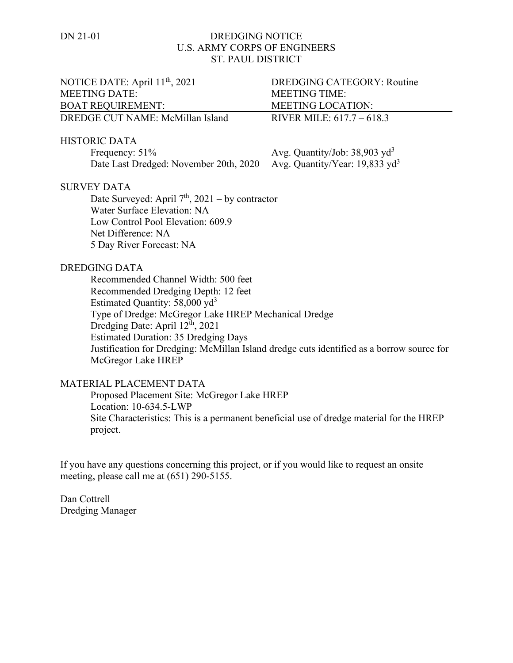## DN 21-01 DREDGING NOTICE U.S. ARMY CORPS OF ENGINEERS ST. PAUL DISTRICT

| NOTICE DATE: April 11 <sup>th</sup> , 2021                                                   | <b>DREDGING CATEGORY: Routine</b>          |
|----------------------------------------------------------------------------------------------|--------------------------------------------|
| <b>MEETING DATE:</b>                                                                         | <b>MEETING TIME:</b>                       |
| <b>BOAT REQUIREMENT:</b>                                                                     | <b>MEETING LOCATION:</b>                   |
| DREDGE CUT NAME: McMillan Island                                                             | RIVER MILE: 617.7 - 618.3                  |
| <b>HISTORIC DATA</b>                                                                         |                                            |
| Frequency: 51%                                                                               | Avg. Quantity/Job: $38,903 \text{ yd}^3$   |
| Date Last Dredged: November 20th, 2020                                                       | Avg. Quantity/Year: 19,833 yd <sup>3</sup> |
| <b>SURVEY DATA</b>                                                                           |                                            |
| Date Surveyed: April $7th$ , 2021 – by contractor                                            |                                            |
| Water Surface Elevation: NA                                                                  |                                            |
| Low Control Pool Elevation: 609.9                                                            |                                            |
| Net Difference: NA                                                                           |                                            |
| 5 Day River Forecast: NA                                                                     |                                            |
| <b>DREDGING DATA</b>                                                                         |                                            |
| Recommended Channel Width: 500 feet                                                          |                                            |
| Recommended Dredging Depth: 12 feet                                                          |                                            |
| Estimated Quantity: $58,000 \text{ yd}^3$                                                    |                                            |
| Type of Dredge: McGregor Lake HREP Mechanical Dredge                                         |                                            |
| Dredging Date: April 12th, 2021                                                              |                                            |
| <b>Estimated Duration: 35 Dredging Days</b>                                                  |                                            |
| Justification for Dredging: McMillan Island dredge cuts identified as a borrow source for    |                                            |
| McGregor Lake HREP                                                                           |                                            |
| MATERIAL PLACEMENT DATA                                                                      |                                            |
| Proposed Placement Site: McGregor Lake HREP                                                  |                                            |
| Location: 10-634.5-LWP                                                                       |                                            |
| Site Characteristics: This is a permanent beneficial use of dredge material for the HREP     |                                            |
| project.                                                                                     |                                            |
|                                                                                              |                                            |
| If you have any questions concerning this project, or if you would like to request an onsite |                                            |

Dan Cottrell Dredging Manager

meeting, please call me at (651) 290-5155.